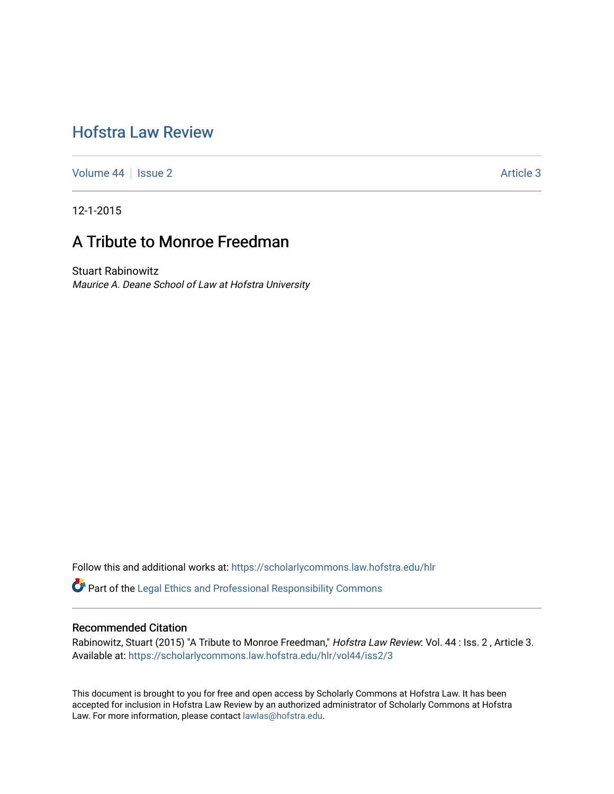# [Hofstra Law Review](https://scholarlycommons.law.hofstra.edu/hlr)

[Volume 44](https://scholarlycommons.law.hofstra.edu/hlr/vol44) | [Issue 2](https://scholarlycommons.law.hofstra.edu/hlr/vol44/iss2) Article 3

12-1-2015

## A Tribute to Monroe Freedman

Stuart Rabinowitz Maurice A. Deane School of Law at Hofstra University

Follow this and additional works at: [https://scholarlycommons.law.hofstra.edu/hlr](https://scholarlycommons.law.hofstra.edu/hlr?utm_source=scholarlycommons.law.hofstra.edu%2Fhlr%2Fvol44%2Fiss2%2F3&utm_medium=PDF&utm_campaign=PDFCoverPages)

Part of the [Legal Ethics and Professional Responsibility Commons](http://network.bepress.com/hgg/discipline/895?utm_source=scholarlycommons.law.hofstra.edu%2Fhlr%2Fvol44%2Fiss2%2F3&utm_medium=PDF&utm_campaign=PDFCoverPages)

### Recommended Citation

Rabinowitz, Stuart (2015) "A Tribute to Monroe Freedman," Hofstra Law Review: Vol. 44 : Iss. 2, Article 3. Available at: [https://scholarlycommons.law.hofstra.edu/hlr/vol44/iss2/3](https://scholarlycommons.law.hofstra.edu/hlr/vol44/iss2/3?utm_source=scholarlycommons.law.hofstra.edu%2Fhlr%2Fvol44%2Fiss2%2F3&utm_medium=PDF&utm_campaign=PDFCoverPages)

This document is brought to you for free and open access by Scholarly Commons at Hofstra Law. It has been accepted for inclusion in Hofstra Law Review by an authorized administrator of Scholarly Commons at Hofstra Law. For more information, please contact [lawlas@hofstra.edu.](mailto:lawlas@hofstra.edu)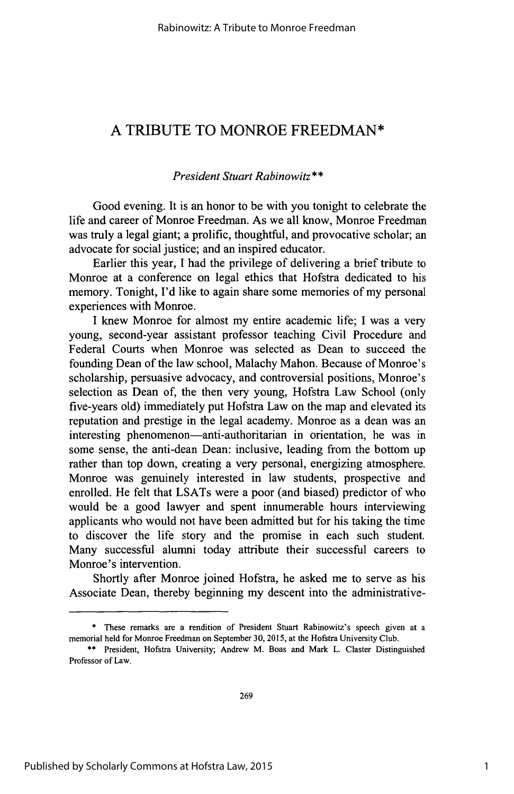## **A** TRIBUTE TO MONROE FREEDMAN\*

### *President Stuart Rabinowitz\*\**

Good evening. It is an honor to **be** with you tonight to celebrate the life and career of Monroe Freedman. As we all know, Monroe Freedman was truly a legal giant; a prolific, thoughtful, and provocative scholar; an advocate for social justice; and an inspired educator.

Earlier this year, **I** had the privilege of delivering a brief tribute to Monroe at a conference on legal ethics that Hofstra dedicated to his memory. Tonight, **I'd** like to again share some memories of my personal experiences with Monroe.

I knew Monroe for almost my entire academic life; **I** was a very young, second-year assistant professor teaching Civil Procedure and Federal Courts when Monroe was selected as Dean to succeed the founding Dean of the law school, Malachy Mahon. Because of Monroe's scholarship, persuasive advocacy, and controversial positions, Monroe's selection as Dean of, the then very young, Hofstra Law School (only five-years old) immediately put Hofstra Law on the map and elevated its reputation and prestige in the legal academy. Monroe as a dean was an interesting phenomenon-anti-authoritarian in orientation, he was in some sense, the anti-dean Dean: inclusive, leading from the bottom up rather than top down, creating a very personal, energizing atmosphere. Monroe was genuinely interested in law students, prospective and enrolled. He felt that LSATs were a poor (and biased) predictor of who would be a good lawyer and spent innumerable hours interviewing applicants who would not have been admitted but for his taking the time to discover the life story and the promise in each such student. Many successful alumni today attribute their successful careers to Monroe's intervention.

Shortly after Monroe joined Hofstra, he asked me to serve as his Associate Dean, thereby beginning my descent into the administrative-

**<sup>\*</sup>** These remarks are a rendition of President Stuart Rabinowitz's speech given at a memorial held for Monroe Freedman on September **30,** *2015,* at the Hofstra University Club.

**<sup>\*\*</sup>** President, Hofstra University; Andrew M. Boas and Mark L. Claster Distinguished Professor of Law.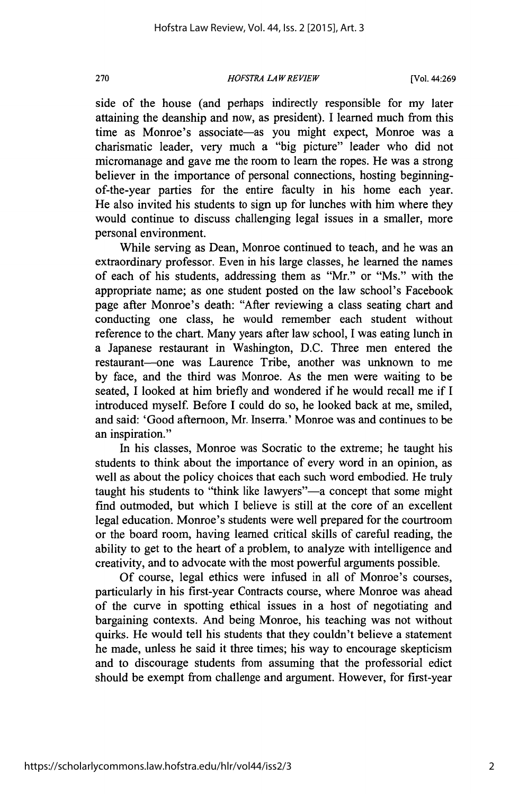*HOFSTRA LAWREVIEW* **270** [Vol. 44:269

side of the house (and perhaps indirectly responsible for my later attaining the deanship and now, as president). **I** learned much from this time as Monroe's associate-as you might expect, Monroe was a charismatic leader, very much a "big picture" leader who did not micromanage and gave me the room to learn the ropes. He was a strong believer in the importance of personal connections, hosting beginningof-the-year parties for the entire faculty in his home each year. He also invited his students to sign up for lunches with him where they would continue to discuss challenging legal issues in a smaller, more personal environment.

While serving as Dean, Monroe continued to teach, and he was an extraordinary professor. Even in his large classes, he learned the names of each of his students, addressing them as "Mr." or "Ms." with the appropriate name; as one student posted on the law school's Facebook page after Monroe's death: "After reviewing a class seating chart and conducting one class, he would remember each student without reference to the chart. Many years after law school, **I** was eating lunch in a Japanese restaurant in Washington, **D.C.** Three men entered the restaurant-one was Laurence Tribe, another was unknown to me **by** face, and the third was Monroe. As the men were waiting to be seated, **I** looked at him briefly and wondered if he would recall me if **<sup>I</sup>** introduced myself. Before **I** could do so, he looked back at me, smiled, and said: 'Good afternoon, Mr. Inserra.' Monroe was and continues to be an inspiration."

In his classes, Monroe was Socratic to the extreme; he taught his students to think about the importance of every word in an opinion, as well as about the policy choices that each such word embodied. He truly taught his students to "think like lawyers"—a concept that some might find outmoded, but which **I** believe is still at the core of an excellent legal education. Monroe's students were well prepared for the courtroom or the board room, having learned critical skills of careful reading, the ability to get to the heart of a problem, to analyze with intelligence and creativity, and to advocate with the most powerful arguments possible.

**Of** course, legal ethics were infused in all of Monroe's courses, particularly in his first-year Contracts course, where Monroe was ahead of the curve in spotting ethical issues in a host of negotiating and bargaining contexts. And being Monroe, his teaching was not without quirks. He would tell his students that they couldn't believe a statement he made, unless he said it three times; his way to encourage skepticism and to discourage students from assuming that the professorial edict should be exempt from challenge and argument. However, for first-year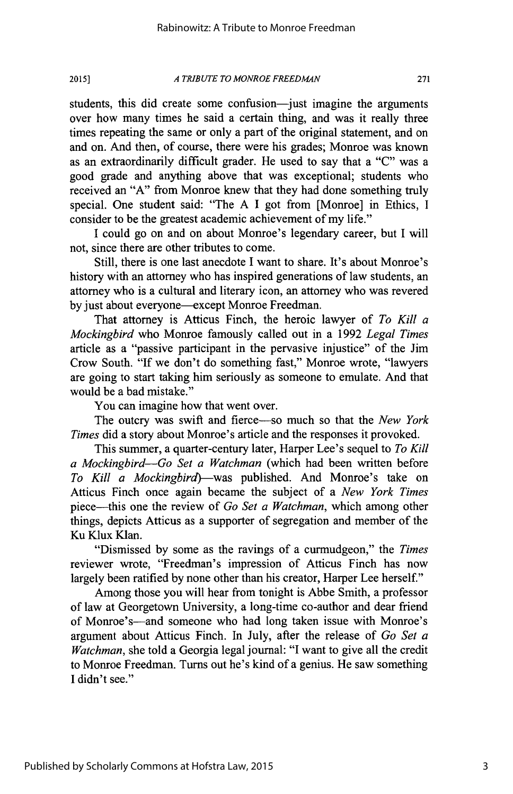*A TRIBUTE TO MONROE FREEDMAN* **2015] 271**

students, this did create some confusion-just imagine the arguments over how many times he said a certain thing, and was it really three times repeating the same or only a part of the original statement, and on and on. And then, of course, there were his grades; Monroe was known as an extraordinarily difficult grader. He used to say that a **"C"** was a good grade and anything above that was exceptional; students who received an **"A"** from Monroe knew that they had done something truly special. One student said: "The **A I** got from [Monroe] in Ethics, **I** consider to be the greatest academic achievement of my life."

**I** could go on and on about Monroe's legendary career, but I will not, since there are other tributes to come.

Still, there is one last anecdote **I** want to share. It's about Monroe's history with an attorney who has inspired generations of law students, an attorney who is a cultural and literary icon, an attorney who was revered **by** just about everyone-except Monroe Freedman.

That attorney is Atticus Finch, the heroic lawyer of *To Kill a Mockingbird* who Monroe famously called out in a **1992** *Legal Times* article as a "passive participant in the pervasive injustice" of the Jim Crow South. **"If** we don't do something fast," Monroe wrote, "lawyers are going to start taking him seriously as someone to emulate. And that would be a bad mistake."

You can imagine how that went over.

The outcry was swift and fierce-so much so that the *New York Times* did a story about Monroe's article and the responses it provoked.

This summer, a quarter-century later, Harper Lee's sequel to *To Kill a Mockingbird-Go Set a Watchman* (which had been written before *To Kill a Mockingbird)-was* published. And Monroe's take on Atticus Finch once again became the subject of a *New York Times* piece-this one the review of *Go Set a Watchman,* which among other things, depicts Atticus as a supporter of segregation and member of the Ku Klux Klan.

"Dismissed **by** some as the ravings of a curmudgeon," the *Times* reviewer wrote, "Freedman's impression of Atticus Finch has now largely been ratified **by** none other than his creator, Harper Lee herself."

Among those you will hear from tonight is Abbe Smith, a professor of law at Georgetown University, a long-time co-author and dear friend of Monroe's-and someone who had long taken issue with Monroe's argument about Atticus Finch. In July, after the release of *Go Set a Watchman,* she told a Georgia legal journal: **"I** want to give all the credit to Monroe Freedman. Turns out he's kind of a genius. He saw something **I** didn't see."